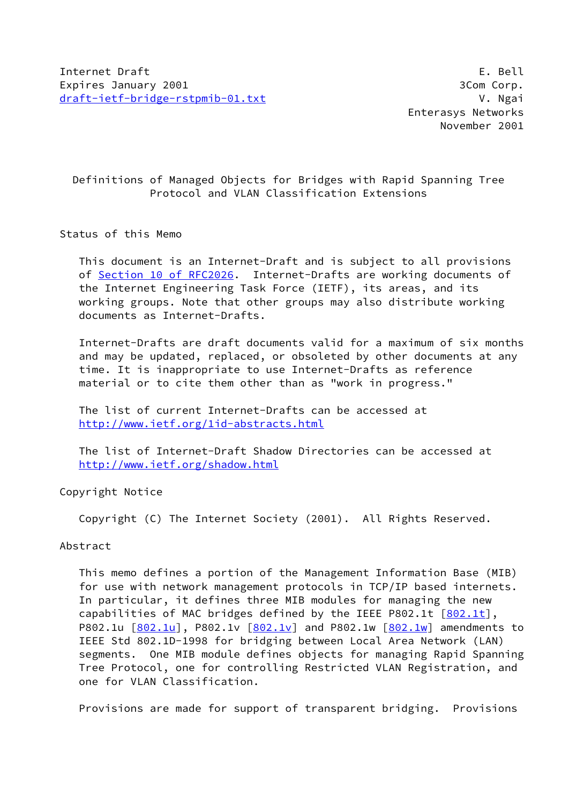# Definitions of Managed Objects for Bridges with Rapid Spanning Tree Protocol and VLAN Classification Extensions

## Status of this Memo

 This document is an Internet-Draft and is subject to all provisions of Section [10 of RFC2026.](https://datatracker.ietf.org/doc/pdf/rfc2026#section-10) Internet-Drafts are working documents of the Internet Engineering Task Force (IETF), its areas, and its working groups. Note that other groups may also distribute working documents as Internet-Drafts.

 Internet-Drafts are draft documents valid for a maximum of six months and may be updated, replaced, or obsoleted by other documents at any time. It is inappropriate to use Internet-Drafts as reference material or to cite them other than as "work in progress."

 The list of current Internet-Drafts can be accessed at <http://www.ietf.org/1id-abstracts.html>

 The list of Internet-Draft Shadow Directories can be accessed at <http://www.ietf.org/shadow.html>

Copyright Notice

Copyright (C) The Internet Society (2001). All Rights Reserved.

## Abstract

 This memo defines a portion of the Management Information Base (MIB) for use with network management protocols in TCP/IP based internets. In particular, it defines three MIB modules for managing the new capabilities of MAC bridges defined by the IEEE P802.1t  $[802.1t]$  $[802.1t]$ , P802.1u  $[802.1u]$  $[802.1u]$ , P[802.1v](#page-30-2)  $[802.1v]$  and P802.1w  $[802.1w]$  $[802.1w]$  amendments to IEEE Std 802.1D-1998 for bridging between Local Area Network (LAN) segments. One MIB module defines objects for managing Rapid Spanning Tree Protocol, one for controlling Restricted VLAN Registration, and one for VLAN Classification.

Provisions are made for support of transparent bridging. Provisions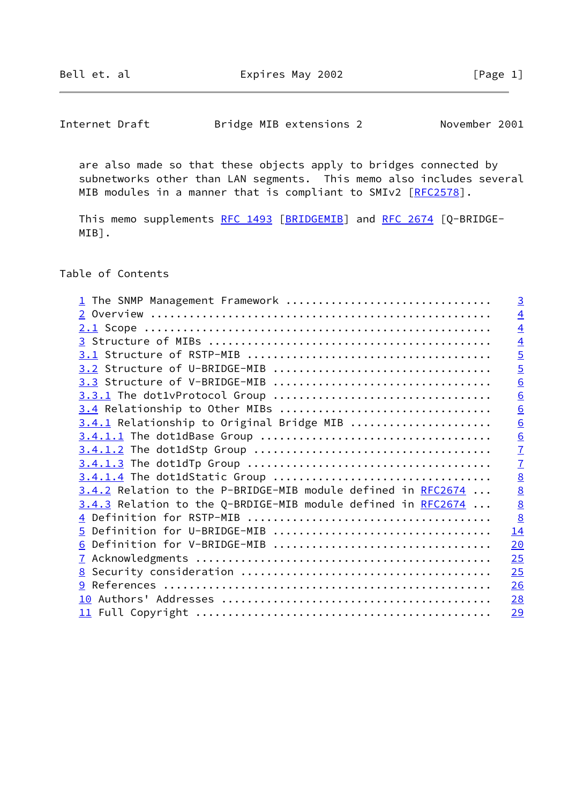Bell et. al  $\qquad \qquad$  Expires May 2002  $\qquad \qquad$  [Page 1]

Internet Draft Bridge MIB extensions 2 November 2001

 are also made so that these objects apply to bridges connected by subnetworks other than LAN segments. This memo also includes several MIB modules in a manner that is compliant to SMIv2 [[RFC2578\]](https://datatracker.ietf.org/doc/pdf/rfc2578).

This memo supplements [RFC 1493](https://datatracker.ietf.org/doc/pdf/rfc1493) [\[BRIDGEMIB](#page-30-4)] and [RFC 2674](https://datatracker.ietf.org/doc/pdf/rfc2674) [Q-BRIDGE-MIB].

Table of Contents

| 1 The SNMP Management Framework                              | $\overline{3}$  |
|--------------------------------------------------------------|-----------------|
|                                                              | $\overline{4}$  |
|                                                              | $\overline{4}$  |
|                                                              | $\overline{4}$  |
|                                                              | $\overline{5}$  |
|                                                              | $\overline{5}$  |
|                                                              | 6               |
|                                                              | 6               |
| 3.4 Relationship to Other MIBs                               | 6               |
| 3.4.1 Relationship to Original Bridge MIB                    | $\underline{6}$ |
|                                                              | $\underline{6}$ |
|                                                              | $\overline{1}$  |
|                                                              | $\overline{1}$  |
|                                                              | $\underline{8}$ |
| 3.4.2 Relation to the P-BRIDGE-MIB module defined in RFC2674 | $\underline{8}$ |
| 3.4.3 Relation to the Q-BRDIGE-MIB module defined in RFC2674 | $\underline{8}$ |
|                                                              | $\underline{8}$ |
| 5 Definition for U-BRIDGE-MIB                                | 14              |
| 6 Definition for V-BRIDGE-MIB                                | 20              |
|                                                              | 25              |
|                                                              | 25              |
|                                                              | 26              |
|                                                              | 28              |
|                                                              | 29              |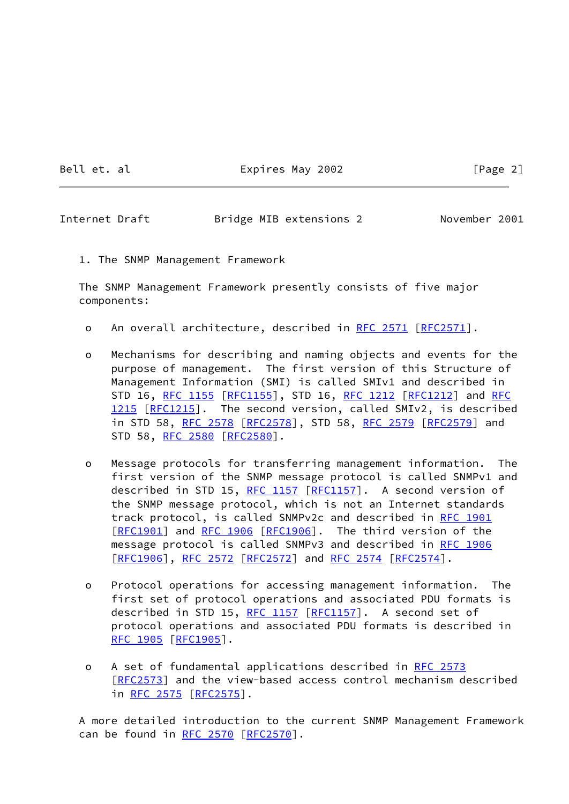Bell et. al  $\qquad \qquad$  Expires May 2002  $\qquad \qquad$  [Page 2]

<span id="page-2-0"></span>Internet Draft Bridge MIB extensions 2 November 2001

1. The SNMP Management Framework

 The SNMP Management Framework presently consists of five major components:

- o An overall architecture, described in [RFC 2571 \[RFC2571](https://datatracker.ietf.org/doc/pdf/rfc2571)].
- o Mechanisms for describing and naming objects and events for the purpose of management. The first version of this Structure of Management Information (SMI) is called SMIv1 and described in STD 16, [RFC 1155](https://datatracker.ietf.org/doc/pdf/rfc1155) [[RFC1155](https://datatracker.ietf.org/doc/pdf/rfc1155)], STD 16, [RFC 1212](https://datatracker.ietf.org/doc/pdf/rfc1212) [[RFC1212](https://datatracker.ietf.org/doc/pdf/rfc1212)] and [RFC](https://datatracker.ietf.org/doc/pdf/rfc1215) [1215](https://datatracker.ietf.org/doc/pdf/rfc1215) [[RFC1215](https://datatracker.ietf.org/doc/pdf/rfc1215)]. The second version, called SMIv2, is described in STD 58, [RFC 2578](https://datatracker.ietf.org/doc/pdf/rfc2578) [\[RFC2578](https://datatracker.ietf.org/doc/pdf/rfc2578)], STD 58, [RFC 2579 \[RFC2579](https://datatracker.ietf.org/doc/pdf/rfc2579)] and STD 58, [RFC 2580](https://datatracker.ietf.org/doc/pdf/rfc2580) [[RFC2580](https://datatracker.ietf.org/doc/pdf/rfc2580)].
- o Message protocols for transferring management information. The first version of the SNMP message protocol is called SNMPv1 and described in STD 15, [RFC 1157](https://datatracker.ietf.org/doc/pdf/rfc1157) [[RFC1157\]](https://datatracker.ietf.org/doc/pdf/rfc1157). A second version of the SNMP message protocol, which is not an Internet standards track protocol, is called SNMPv2c and described in [RFC 1901](https://datatracker.ietf.org/doc/pdf/rfc1901) [\[RFC1901](https://datatracker.ietf.org/doc/pdf/rfc1901)] and [RFC 1906 \[RFC1906](https://datatracker.ietf.org/doc/pdf/rfc1906)]. The third version of the message protocol is called SNMPv3 and described in [RFC 1906](https://datatracker.ietf.org/doc/pdf/rfc1906) [\[RFC1906](https://datatracker.ietf.org/doc/pdf/rfc1906)], [RFC 2572](https://datatracker.ietf.org/doc/pdf/rfc2572) [\[RFC2572](https://datatracker.ietf.org/doc/pdf/rfc2572)] and [RFC 2574 \[RFC2574](https://datatracker.ietf.org/doc/pdf/rfc2574)].
- o Protocol operations for accessing management information. The first set of protocol operations and associated PDU formats is described in STD 15, [RFC 1157](https://datatracker.ietf.org/doc/pdf/rfc1157) [[RFC1157\]](https://datatracker.ietf.org/doc/pdf/rfc1157). A second set of protocol operations and associated PDU formats is described in [RFC 1905](https://datatracker.ietf.org/doc/pdf/rfc1905) [[RFC1905](https://datatracker.ietf.org/doc/pdf/rfc1905)].
- o A set of fundamental applications described in [RFC 2573](https://datatracker.ietf.org/doc/pdf/rfc2573) [\[RFC2573](https://datatracker.ietf.org/doc/pdf/rfc2573)] and the view-based access control mechanism described in [RFC 2575](https://datatracker.ietf.org/doc/pdf/rfc2575) [\[RFC2575](https://datatracker.ietf.org/doc/pdf/rfc2575)].

 A more detailed introduction to the current SNMP Management Framework can be found in [RFC 2570](https://datatracker.ietf.org/doc/pdf/rfc2570) [\[RFC2570](https://datatracker.ietf.org/doc/pdf/rfc2570)].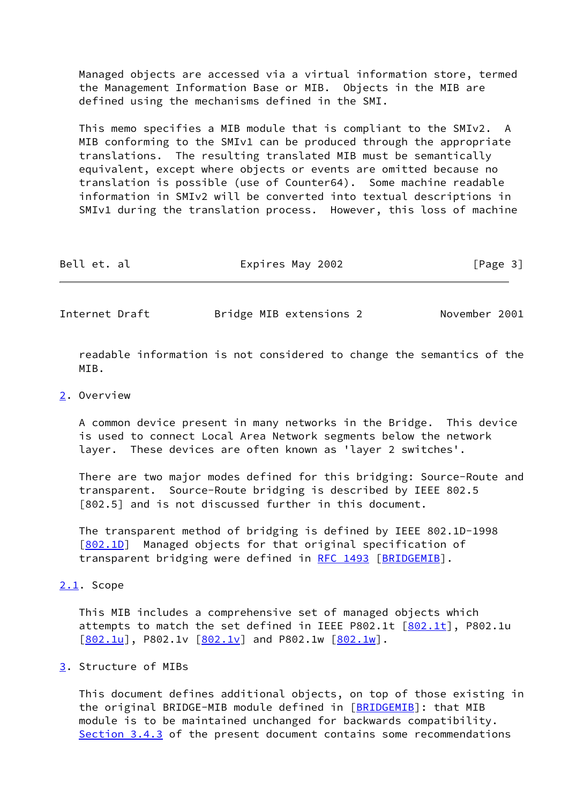Managed objects are accessed via a virtual information store, termed the Management Information Base or MIB. Objects in the MIB are defined using the mechanisms defined in the SMI.

 This memo specifies a MIB module that is compliant to the SMIv2. A MIB conforming to the SMIv1 can be produced through the appropriate translations. The resulting translated MIB must be semantically equivalent, except where objects or events are omitted because no translation is possible (use of Counter64). Some machine readable information in SMIv2 will be converted into textual descriptions in SMIv1 during the translation process. However, this loss of machine

| Bell et. al | Expires May 2002 | [Page 3] |  |
|-------------|------------------|----------|--|
|             |                  |          |  |

<span id="page-3-1"></span>Internet Draft Bridge MIB extensions 2 November 2001

 readable information is not considered to change the semantics of the MTR.

#### <span id="page-3-0"></span>[2](#page-3-0). Overview

 A common device present in many networks in the Bridge. This device is used to connect Local Area Network segments below the network layer. These devices are often known as 'layer 2 switches'.

 There are two major modes defined for this bridging: Source-Route and transparent. Source-Route bridging is described by IEEE 802.5 [802.5] and is not discussed further in this document.

 The transparent method of bridging is defined by IEEE 802.1D-1998 [\[802.1D](#page-29-0)] Managed objects for that original specification of transparent bridging were defined in [RFC 1493](https://datatracker.ietf.org/doc/pdf/rfc1493) [[BRIDGEMIB\]](#page-30-4).

## <span id="page-3-2"></span>[2.1](#page-3-2). Scope

 This MIB includes a comprehensive set of managed objects which attempts to match the set defined in IEEE P[802.1t](#page-30-0)  $[802.1t]$ , P802.1u  $[802.1u]$  $[802.1u]$ , P[802.1v](#page-30-2)  $[802.1v]$  and P802.1w  $[802.1w]$  $[802.1w]$ .

## <span id="page-3-3"></span>[3](#page-3-3). Structure of MIBs

 This document defines additional objects, on top of those existing in the original BRIDGE-MIB module defined in [[BRIDGEMIB\]](#page-30-4): that MIB module is to be maintained unchanged for backwards compatibility. [Section 3.4.3](#page-8-1) of the present document contains some recommendations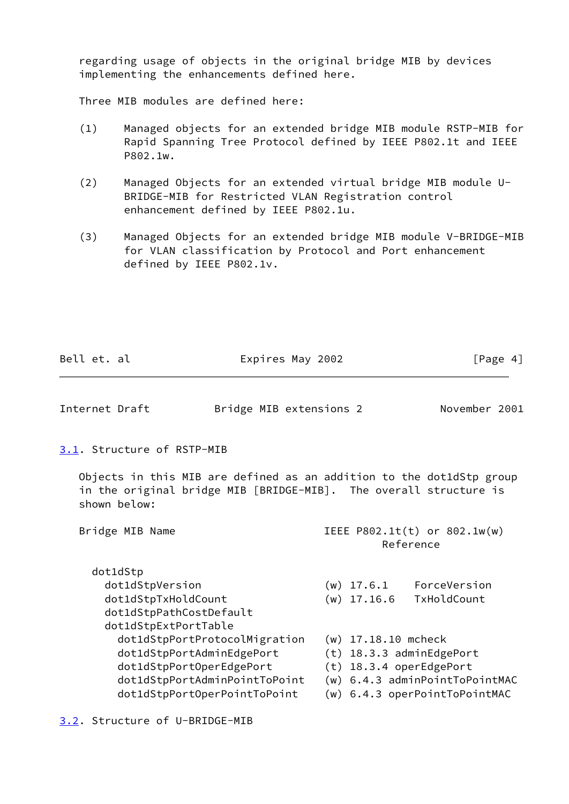regarding usage of objects in the original bridge MIB by devices implementing the enhancements defined here.

Three MIB modules are defined here:

- (1) Managed objects for an extended bridge MIB module RSTP-MIB for Rapid Spanning Tree Protocol defined by IEEE P802.1t and IEEE P802.1w.
- (2) Managed Objects for an extended virtual bridge MIB module U- BRIDGE-MIB for Restricted VLAN Registration control enhancement defined by IEEE P802.1u.
- (3) Managed Objects for an extended bridge MIB module V-BRIDGE-MIB for VLAN classification by Protocol and Port enhancement defined by IEEE P802.1v.

<span id="page-4-1"></span><span id="page-4-0"></span>

| Bell et. al                                                            | Expires May 2002                                                                                                                          |                                           | [Page $4$ ]                                                     |
|------------------------------------------------------------------------|-------------------------------------------------------------------------------------------------------------------------------------------|-------------------------------------------|-----------------------------------------------------------------|
| Internet Draft                                                         | Bridge MIB extensions 2                                                                                                                   |                                           | November 2001                                                   |
| 3.1. Structure of RSTP-MIB                                             |                                                                                                                                           |                                           |                                                                 |
| shown below:                                                           | Objects in this MIB are defined as an addition to the dot1dStp group<br>in the original bridge MIB [BRIDGE-MIB]. The overall structure is |                                           |                                                                 |
| Bridge MIB Name                                                        |                                                                                                                                           | IEEE P802.1t(t) or 802.1w(w)<br>Reference |                                                                 |
| dot1dStp                                                               |                                                                                                                                           |                                           |                                                                 |
| dot1dStpVersion                                                        |                                                                                                                                           |                                           | $(w)$ 17.6.1 ForceVersion                                       |
| dot1dStpTxHoldCount<br>dot1dStpPathCostDefault<br>dot1dStpExtPortTable |                                                                                                                                           | $(w)$ 17.16.6                             | TxHoldCount                                                     |
|                                                                        | dot1dStpPortProtocolMigration                                                                                                             | $(w)$ 17.18.10 mcheck                     |                                                                 |
|                                                                        | dot1dStpPortAdminEdgePort                                                                                                                 |                                           | $(t)$ 18.3.3 adminEdgePort                                      |
| dot1dStpPortOperEdgePort                                               |                                                                                                                                           |                                           | (t) 18.3.4 operEdgePort                                         |
|                                                                        | dot1dStpPortAdminPointToPoint<br>dot1dStpPortOperPointToPoint                                                                             |                                           | (w) 6.4.3 adminPointToPointMAC<br>(w) 6.4.3 operPointToPointMAC |
|                                                                        |                                                                                                                                           |                                           |                                                                 |

<span id="page-4-2"></span>[3.2](#page-4-2). Structure of U-BRIDGE-MIB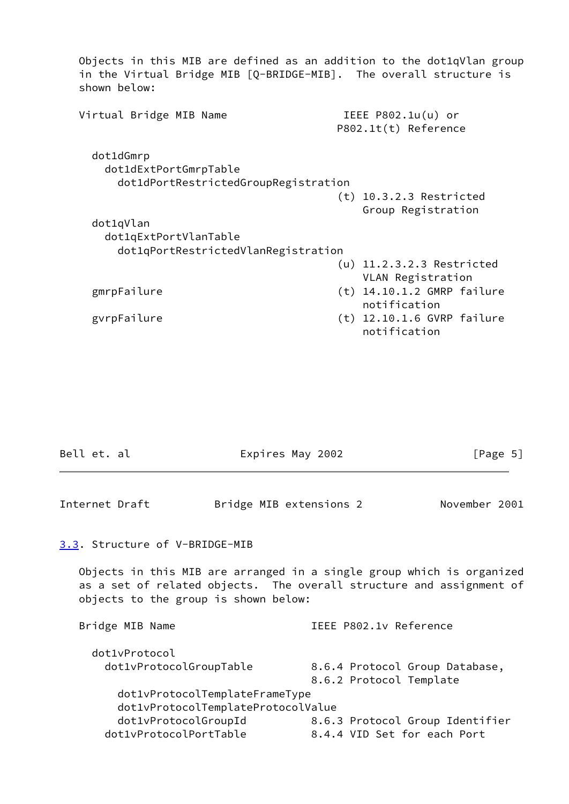Objects in this MIB are defined as an addition to the dot1qVlan group in the Virtual Bridge MIB [Q-BRIDGE-MIB]. The overall structure is shown below: Virtual Bridge MIB Name **IEEE P802.1u(u)** or P802.1t(t) Reference dot1dGmrp dot1dExtPortGmrpTable dot1dPortRestrictedGroupRegistration (t) 10.3.2.3 Restricted Group Registration dot1qVlan dot1qExtPortVlanTable dot1qPortRestrictedVlanRegistration (u) 11.2.3.2.3 Restricted VLAN Registration gmrpFailure (t) 14.10.1.2 GMRP failure notification gvrpFailure (t) 12.10.1.6 GVRP failure notification

<span id="page-5-1"></span><span id="page-5-0"></span>

| Bell et. al                          |                                    | Expires May 2002        | [Page 5]                                                                                                                                      |
|--------------------------------------|------------------------------------|-------------------------|-----------------------------------------------------------------------------------------------------------------------------------------------|
| Internet Draft                       |                                    | Bridge MIB extensions 2 | November 2001                                                                                                                                 |
| 3.3. Structure of V-BRIDGE-MIB       |                                    |                         |                                                                                                                                               |
| objects to the group is shown below: |                                    |                         | Objects in this MIB are arranged in a single group which is organized<br>as a set of related objects. The overall structure and assignment of |
| Bridge MIB Name                      |                                    | IEEE P802.1v Reference  |                                                                                                                                               |
| dot1vProtocol                        |                                    |                         |                                                                                                                                               |
| dot1vProtocolGroupTable              |                                    | 8.6.2 Protocol Template | 8.6.4 Protocol Group Database,                                                                                                                |
|                                      | dot1vProtocolTemplateFrameType     |                         |                                                                                                                                               |
|                                      | dot1vProtocolTemplateProtocolValue |                         |                                                                                                                                               |
| dot1vProtocolGroupId                 |                                    |                         | 8.6.3 Protocol Group Identifier                                                                                                               |
| dot1vProtocolPortTable               |                                    |                         | 8.4.4 VID Set for each Port                                                                                                                   |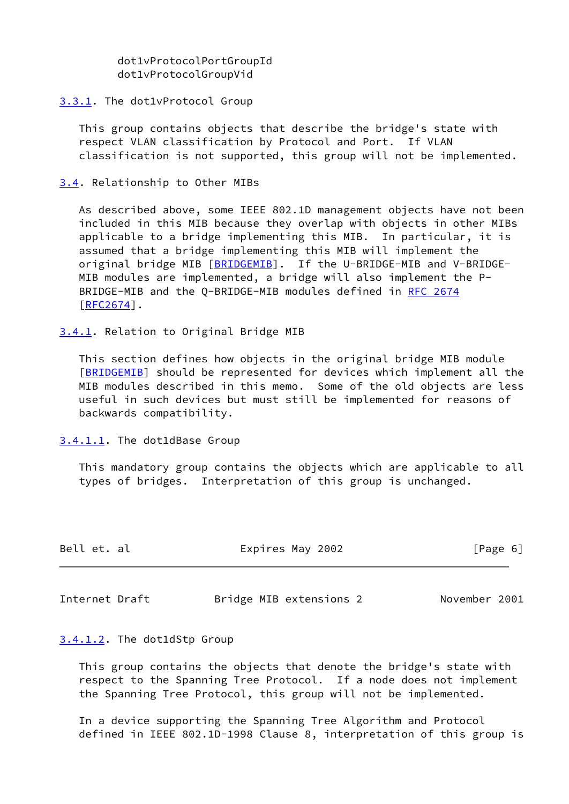dot1vProtocolPortGroupId dot1vProtocolGroupVid

### <span id="page-6-0"></span>[3.3.1](#page-6-0). The dot1vProtocol Group

 This group contains objects that describe the bridge's state with respect VLAN classification by Protocol and Port. If VLAN classification is not supported, this group will not be implemented.

### <span id="page-6-1"></span>[3.4](#page-6-1). Relationship to Other MIBs

 As described above, some IEEE 802.1D management objects have not been included in this MIB because they overlap with objects in other MIBs applicable to a bridge implementing this MIB. In particular, it is assumed that a bridge implementing this MIB will implement the original bridge MIB [\[BRIDGEMIB](#page-30-4)]. If the U-BRIDGE-MIB and V-BRIDGE- MIB modules are implemented, a bridge will also implement the P- BRIDGE-MIB and the Q-BRIDGE-MIB modules defined in [RFC 2674](https://datatracker.ietf.org/doc/pdf/rfc2674) [\[RFC2674](https://datatracker.ietf.org/doc/pdf/rfc2674)].

#### <span id="page-6-2"></span>[3.4.1](#page-6-2). Relation to Original Bridge MIB

 This section defines how objects in the original bridge MIB module [\[BRIDGEMIB](#page-30-4)] should be represented for devices which implement all the MIB modules described in this memo. Some of the old objects are less useful in such devices but must still be implemented for reasons of backwards compatibility.

#### <span id="page-6-3"></span>[3.4.1.1](#page-6-3). The dot1dBase Group

 This mandatory group contains the objects which are applicable to all types of bridges. Interpretation of this group is unchanged.

<span id="page-6-5"></span>

| Bell et. al    | Expires May 2002        | [Page 6]      |
|----------------|-------------------------|---------------|
|                |                         |               |
| Internet Draft | Bridge MIB extensions 2 | November 2001 |

#### <span id="page-6-4"></span>[3.4.1.2](#page-6-4). The dot1dStp Group

 This group contains the objects that denote the bridge's state with respect to the Spanning Tree Protocol. If a node does not implement the Spanning Tree Protocol, this group will not be implemented.

 In a device supporting the Spanning Tree Algorithm and Protocol defined in IEEE 802.1D-1998 Clause 8, interpretation of this group is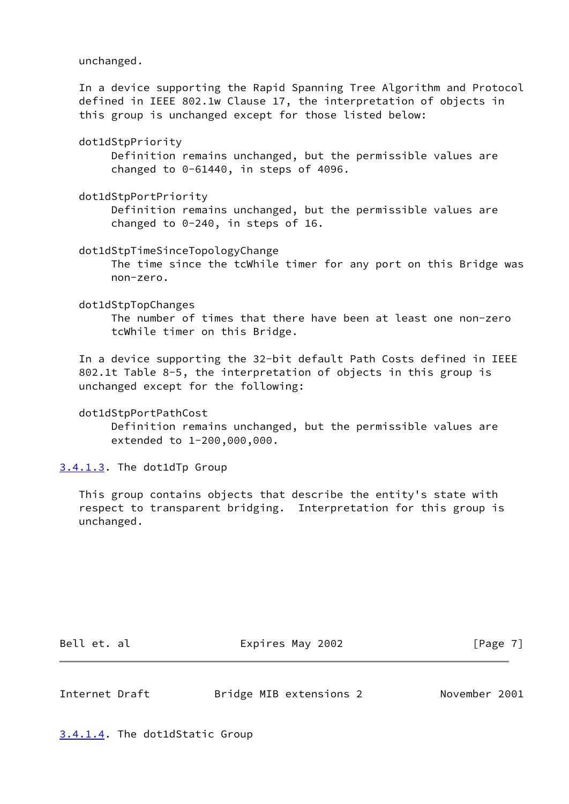unchanged.

 In a device supporting the Rapid Spanning Tree Algorithm and Protocol defined in IEEE 802.1w Clause 17, the interpretation of objects in this group is unchanged except for those listed below:

dot1dStpPriority

 Definition remains unchanged, but the permissible values are changed to 0-61440, in steps of 4096.

dot1dStpPortPriority

 Definition remains unchanged, but the permissible values are changed to 0-240, in steps of 16.

dot1dStpTimeSinceTopologyChange

 The time since the tcWhile timer for any port on this Bridge was non-zero.

dot1dStpTopChanges

 The number of times that there have been at least one non-zero tcWhile timer on this Bridge.

 In a device supporting the 32-bit default Path Costs defined in IEEE 802.1t Table 8-5, the interpretation of objects in this group is unchanged except for the following:

dot1dStpPortPathCost

 Definition remains unchanged, but the permissible values are extended to 1-200,000,000.

<span id="page-7-0"></span>[3.4.1.3](#page-7-0). The dot1dTp Group

 This group contains objects that describe the entity's state with respect to transparent bridging. Interpretation for this group is unchanged.

Bell et. al  $\qquad \qquad$  Expires May 2002  $\qquad \qquad$  [Page 7]

<span id="page-7-2"></span>Internet Draft Bridge MIB extensions 2 November 2001

<span id="page-7-1"></span>[3.4.1.4](#page-7-1). The dot1dStatic Group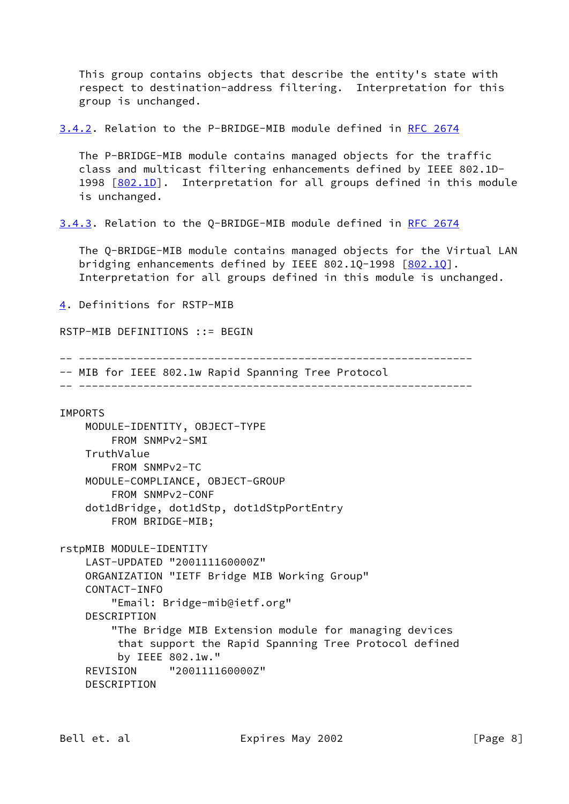This group contains objects that describe the entity's state with respect to destination-address filtering. Interpretation for this group is unchanged.

<span id="page-8-0"></span>[3.4.2](#page-8-0). Relation to the P-BRIDGE-MIB module defined in [RFC 2674](https://datatracker.ietf.org/doc/pdf/rfc2674)

 The P-BRIDGE-MIB module contains managed objects for the traffic class and multicast filtering enhancements defined by IEEE 802.1D- 1998 [\[802.1D](#page-29-0)]. Interpretation for all groups defined in this module is unchanged.

<span id="page-8-1"></span>[3.4.3](#page-8-1). Relation to the Q-BRIDGE-MIB module defined in [RFC 2674](https://datatracker.ietf.org/doc/pdf/rfc2674)

 The Q-BRIDGE-MIB module contains managed objects for the Virtual LAN bridging enhancements defined by IEEE 802.1Q-1998 [[802.1Q](#page-30-7)]. Interpretation for all groups defined in this module is unchanged.

```
4. Definitions for RSTP-MIB
```

```
RSTP-MIB DEFINITIONS ::= BEGIN
```

```
-- -------------------------------------------------------------
```
-- MIB for IEEE 802.1w Rapid Spanning Tree Protocol

-- -------------------------------------------------------------

#### IMPORTS

```
 MODULE-IDENTITY, OBJECT-TYPE
     FROM SNMPv2-SMI
 TruthValue
     FROM SNMPv2-TC
 MODULE-COMPLIANCE, OBJECT-GROUP
     FROM SNMPv2-CONF
 dot1dBridge, dot1dStp, dot1dStpPortEntry
     FROM BRIDGE-MIB;
```

```
rstpMIB MODULE-IDENTITY
     LAST-UPDATED "200111160000Z"
    ORGANIZATION "IETF Bridge MIB Working Group"
    CONTACT-INFO
         "Email: Bridge-mib@ietf.org"
     DESCRIPTION
         "The Bridge MIB Extension module for managing devices
          that support the Rapid Spanning Tree Protocol defined
          by IEEE 802.1w."
     REVISION "200111160000Z"
     DESCRIPTION
```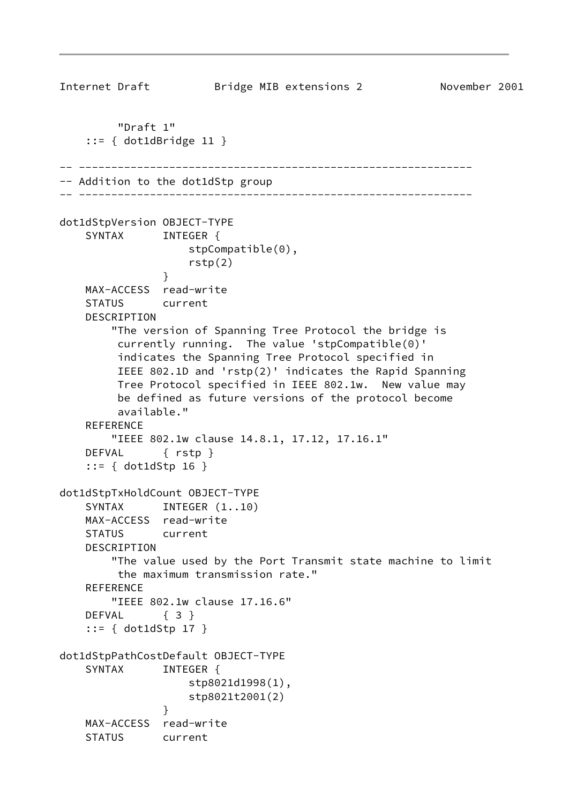```
Internet Draft Bridge MIB extensions 2 November 2001
         "Draft 1"
    ::= { dot1dBridge 11 }
-- -------------------------------------------------------------
-- Addition to the dot1dStp group
-- -------------------------------------------------------------
dot1dStpVersion OBJECT-TYPE
   SYNTAX INTEGER {
                    stpCompatible(0),
                    rstp(2)
 }
    MAX-ACCESS read-write
    STATUS current
    DESCRIPTION
        "The version of Spanning Tree Protocol the bridge is
         currently running. The value 'stpCompatible(0)'
         indicates the Spanning Tree Protocol specified in
         IEEE 802.1D and 'rstp(2)' indicates the Rapid Spanning
         Tree Protocol specified in IEEE 802.1w. New value may
         be defined as future versions of the protocol become
         available."
    REFERENCE
        "IEEE 802.1w clause 14.8.1, 17.12, 17.16.1"
    DEFVAL { rstp }
     ::= { dot1dStp 16 }
dot1dStpTxHoldCount OBJECT-TYPE
   SYNTAX INTEGER (1..10) MAX-ACCESS read-write
    STATUS current
    DESCRIPTION
        "The value used by the Port Transmit state machine to limit
         the maximum transmission rate."
    REFERENCE
        "IEEE 802.1w clause 17.16.6"
   DEFVAL { 3 }
     ::= { dot1dStp 17 }
dot1dStpPathCostDefault OBJECT-TYPE
   SYNTAX INTEGER {
                    stp8021d1998(1),
                    stp8021t2001(2)
 }
    MAX-ACCESS read-write
    STATUS current
```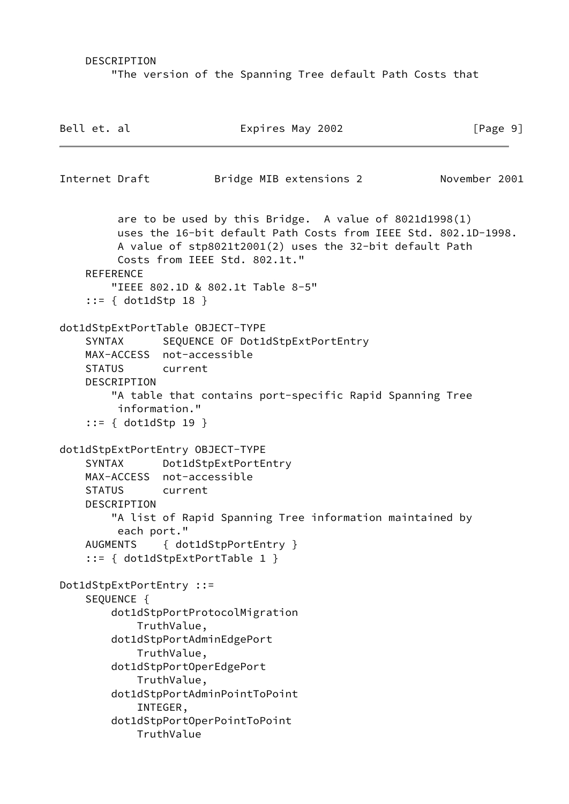DESCRIPTION

"The version of the Spanning Tree default Path Costs that

| Bell et. al |                                      | Expires May 2002                                                                                                                                                                                                                                                                      | [Page 9]      |
|-------------|--------------------------------------|---------------------------------------------------------------------------------------------------------------------------------------------------------------------------------------------------------------------------------------------------------------------------------------|---------------|
|             | Internet Draft                       | Bridge MIB extensions 2                                                                                                                                                                                                                                                               | November 2001 |
|             | <b>REFERENCE</b>                     | are to be used by this Bridge. A value of $8021d1998(1)$<br>uses the 16-bit default Path Costs from IEEE Std. 802.1D-1998.<br>A value of stp8021t2001(2) uses the 32-bit default Path<br>Costs from IEEE Std. 802.1t."<br>"IEEE 802.1D & 802.1t Table 8-5"<br>$::= \{ dot1dStp 18 \}$ |               |
|             | DESCRIPTION                          | dot1dStpExtPortTable OBJECT-TYPE<br>SYNTAX SEQUENCE OF Dot1dStpExtPortEntry<br>MAX-ACCESS not-accessible<br>STATUS current<br>"A table that contains port-specific Rapid Spanning Tree<br>information."<br>$::= \{ dot1dStp 19 \}$                                                    |               |
|             | SYNTAX<br>DESCRIPTION<br>each port." | dot1dStpExtPortEntry OBJECT-TYPE<br>Dot1dStpExtPortEntry<br>MAX-ACCESS not-accessible<br>STATUS current<br>"A list of Rapid Spanning Tree information maintained by<br>AUGMENTS { dot1dStpPortEntry }<br>$::= \{ dot1dStepExtPortTable 1 \}$                                          |               |
|             | SEQUENCE {                           | Dot1dStpExtPortEntry ::=<br>dot1dStpPortProtocolMigration<br>TruthValue,<br>dot1dStpPortAdminEdgePort<br>TruthValue,<br>dot1dStpPortOperEdgePort<br>TruthValue,<br>dot1dStpPortAdminPointToPoint<br>INTEGER,<br>dot1dStpPortOperPointToPoint<br>TruthValue                            |               |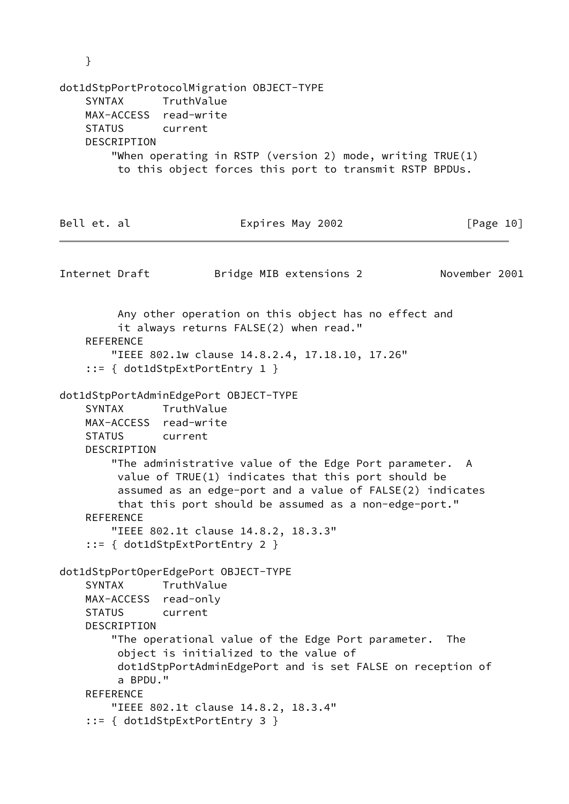|             | }                                                                                                                                                                                                                                                  |                                                     |                                                       |                                                                                                                     |                                                                                                                                 |                                                                                                                                                                                                                                                                                              |                                                                   |           |
|-------------|----------------------------------------------------------------------------------------------------------------------------------------------------------------------------------------------------------------------------------------------------|-----------------------------------------------------|-------------------------------------------------------|---------------------------------------------------------------------------------------------------------------------|---------------------------------------------------------------------------------------------------------------------------------|----------------------------------------------------------------------------------------------------------------------------------------------------------------------------------------------------------------------------------------------------------------------------------------------|-------------------------------------------------------------------|-----------|
|             | dot1dStpPortProtocolMigration OBJECT-TYPE<br>SYNTAX TruthValue<br>MAX-ACCESS read-write<br>STATUS current<br>DESCRIPTION<br>"When operating in RSTP (version 2) mode, writing $IRUE(1)$<br>to this object forces this port to transmit RSTP BPDUs. |                                                     |                                                       |                                                                                                                     |                                                                                                                                 |                                                                                                                                                                                                                                                                                              |                                                                   |           |
| Bell et. al |                                                                                                                                                                                                                                                    |                                                     |                                                       |                                                                                                                     | Expires May 2002                                                                                                                |                                                                                                                                                                                                                                                                                              |                                                                   | [Page 10] |
|             |                                                                                                                                                                                                                                                    | Internet Draft                                      |                                                       |                                                                                                                     | Bridge MIB extensions 2                                                                                                         |                                                                                                                                                                                                                                                                                              | November 2001                                                     |           |
|             | SYNTAX                                                                                                                                                                                                                                             | <b>REFERENCE</b><br>DESCRIPTION<br><b>REFERENCE</b> | TruthValue<br>MAX-ACCESS read-write<br>STATUS current | $::= \{ dot1dStepExtPortEntry 1 \}$<br>dot1dStpPortAdminEdgePort OBJECT-TYPE<br>$::= \{ dot1dStepExtPortEntry 2 \}$ | it always returns FALSE(2) when read."<br>"IEEE 802.1w clause 14.8.2.4, 17.18.10, 17.26"<br>"IEEE 802.1t clause 14.8.2, 18.3.3" | Any other operation on this object has no effect and<br>"The administrative value of the Edge Port parameter. A<br>value of TRUE(1) indicates that this port should be<br>assumed as an edge-port and a value of FALSE(2) indicates<br>that this port should be assumed as a non-edge-port." |                                                                   |           |
|             | <b>SYNTAX</b>                                                                                                                                                                                                                                      | DESCRIPTION<br>a BPDU."<br><b>REFERENCE</b>         | TruthValue<br>MAX-ACCESS read-only<br>STATUS current  | dot1dStpPortOperEdgePort OBJECT-TYPE<br>"IEEE 802.1t clause 14.8.2, 18.3.4"<br>$::= \{ dot1dStepExtPortEntry 3 \}$  | object is initialized to the value of                                                                                           | "The operational value of the Edge Port parameter.                                                                                                                                                                                                                                           | The<br>dot1dStpPortAdminEdgePort and is set FALSE on reception of |           |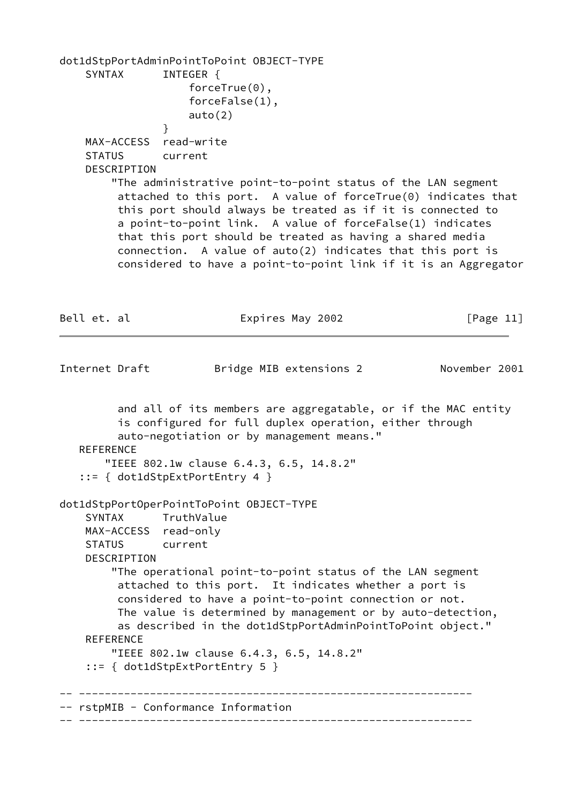dot1dStpPortAdminPointToPoint OBJECT-TYPE SYNTAX INTEGER { forceTrue(0), forceFalse(1), auto(2) } MAX-ACCESS read-write STATUS current DESCRIPTION "The administrative point-to-point status of the LAN segment attached to this port. A value of forceTrue(0) indicates that this port should always be treated as if it is connected to a point-to-point link. A value of forceFalse(1) indicates that this port should be treated as having a shared media connection. A value of auto(2) indicates that this port is considered to have a point-to-point link if it is an Aggregator Bell et. al  $Expires$  May 2002 [Page 11] Internet Draft Bridge MIB extensions 2 November 2001 and all of its members are aggregatable, or if the MAC entity is configured for full duplex operation, either through auto-negotiation or by management means." REFERENCE "IEEE 802.1w clause 6.4.3, 6.5, 14.8.2" ::= { dot1dStpExtPortEntry 4 } dot1dStpPortOperPointToPoint OBJECT-TYPE SYNTAX TruthValue MAX-ACCESS read-only STATUS current DESCRIPTION "The operational point-to-point status of the LAN segment attached to this port. It indicates whether a port is considered to have a point-to-point connection or not. The value is determined by management or by auto-detection, as described in the dot1dStpPortAdminPointToPoint object." REFERENCE "IEEE 802.1w clause 6.4.3, 6.5, 14.8.2" ::= { dot1dStpExtPortEntry 5 } -- ------------------------------------------------------------- -- rstpMIB - Conformance Information -- -------------------------------------------------------------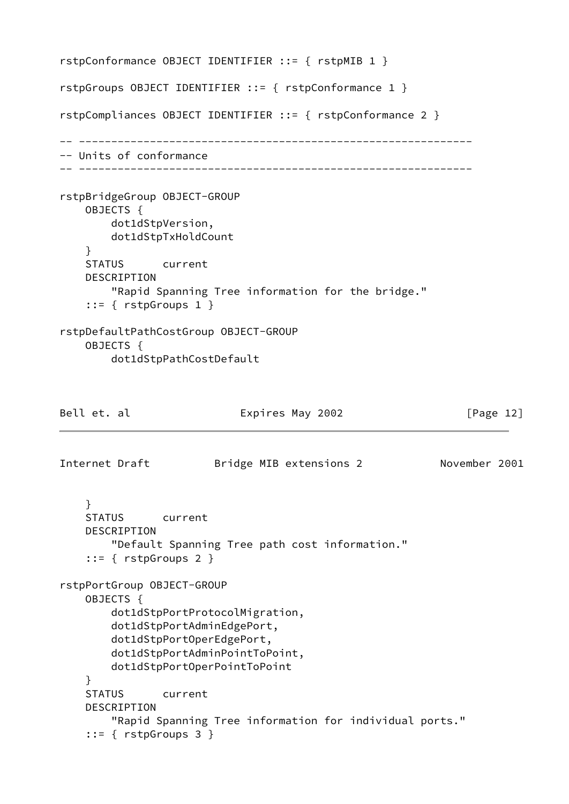```
rstpConformance OBJECT IDENTIFIER ::= { rstpMIB 1 }
rstpGroups OBJECT IDENTIFIER ::= { rstpConformance 1 }
rstpCompliances OBJECT IDENTIFIER ::= { rstpConformance 2 }
-- -------------------------------------------------------------
-- Units of conformance
-- -------------------------------------------------------------
rstpBridgeGroup OBJECT-GROUP
     OBJECTS {
        dot1dStpVersion,
        dot1dStpTxHoldCount
     }
     STATUS current
     DESCRIPTION
         "Rapid Spanning Tree information for the bridge."
     ::= { rstpGroups 1 }
rstpDefaultPathCostGroup OBJECT-GROUP
     OBJECTS {
         dot1dStpPathCostDefault
Bell et. al \qquad \qquad Expires May 2002 \qquad \qquad [Page 12]
Internet Draft Bridge MIB extensions 2 November 2001
     }
     STATUS current
     DESCRIPTION
         "Default Spanning Tree path cost information."
     ::= { rstpGroups 2 }
rstpPortGroup OBJECT-GROUP
     OBJECTS {
         dot1dStpPortProtocolMigration,
         dot1dStpPortAdminEdgePort,
         dot1dStpPortOperEdgePort,
         dot1dStpPortAdminPointToPoint,
         dot1dStpPortOperPointToPoint
     }
     STATUS current
     DESCRIPTION
         "Rapid Spanning Tree information for individual ports."
     ::= { rstpGroups 3 }
```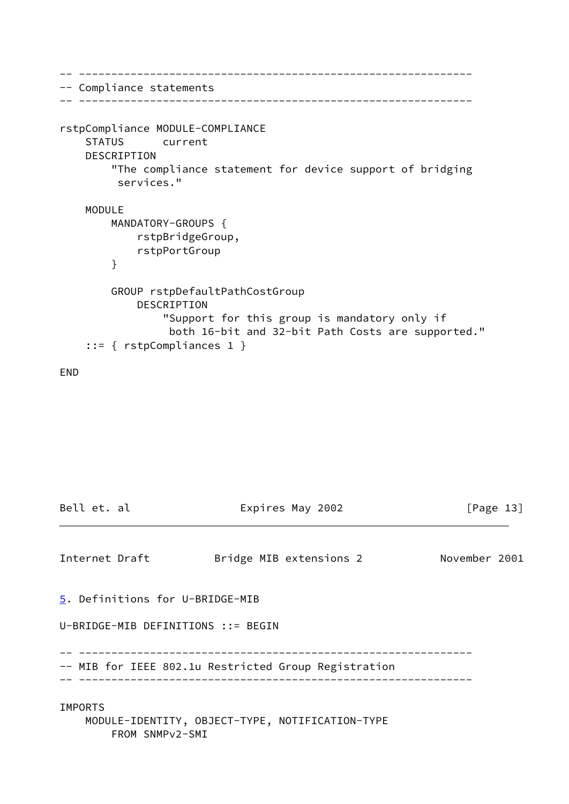```
-- -------------------------------------------------------------
-- Compliance statements
-- -------------------------------------------------------------
rstpCompliance MODULE-COMPLIANCE
     STATUS current
     DESCRIPTION
         "The compliance statement for device support of bridging
          services."
     MODULE
         MANDATORY-GROUPS {
             rstpBridgeGroup,
             rstpPortGroup
         }
         GROUP rstpDefaultPathCostGroup
             DESCRIPTION
                 "Support for this group is mandatory only if
                  both 16-bit and 32-bit Path Costs are supported."
     ::= { rstpCompliances 1 }
```
END

```
Bell et. al \qquad \qquad Expires May 2002 \qquad \qquad [Page 13]
Internet Draft Bridge MIB extensions 2 November 2001
5. Definitions for U-BRIDGE-MIB
U-BRIDGE-MIB DEFINITIONS ::= BEGIN
-- -------------------------------------------------------------
-- MIB for IEEE 802.1u Restricted Group Registration
-- -------------------------------------------------------------
IMPORTS
    MODULE-IDENTITY, OBJECT-TYPE, NOTIFICATION-TYPE
        FROM SNMPv2-SMI
```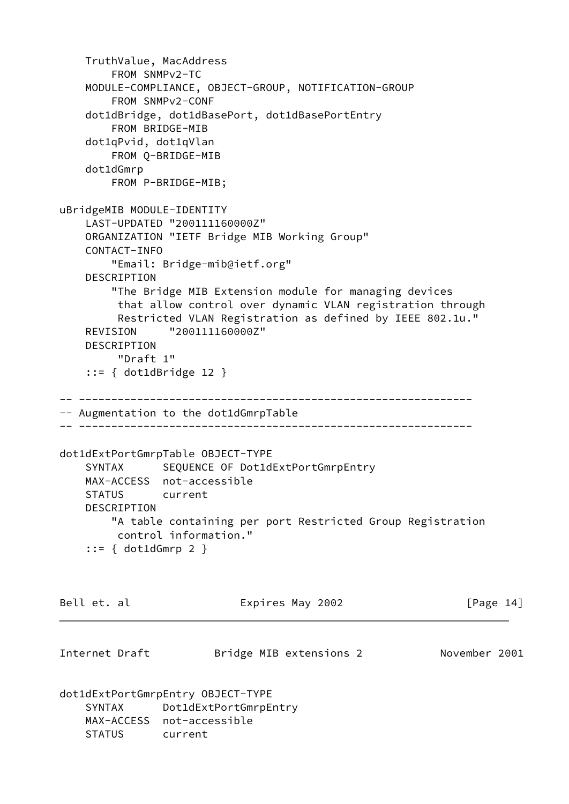```
 TruthValue, MacAddress
         FROM SNMPv2-TC
     MODULE-COMPLIANCE, OBJECT-GROUP, NOTIFICATION-GROUP
         FROM SNMPv2-CONF
     dot1dBridge, dot1dBasePort, dot1dBasePortEntry
         FROM BRIDGE-MIB
     dot1qPvid, dot1qVlan
         FROM Q-BRIDGE-MIB
     dot1dGmrp
         FROM P-BRIDGE-MIB;
uBridgeMIB MODULE-IDENTITY
     LAST-UPDATED "200111160000Z"
     ORGANIZATION "IETF Bridge MIB Working Group"
     CONTACT-INFO
         "Email: Bridge-mib@ietf.org"
     DESCRIPTION
         "The Bridge MIB Extension module for managing devices
          that allow control over dynamic VLAN registration through
          Restricted VLAN Registration as defined by IEEE 802.1u."
     REVISION "200111160000Z"
     DESCRIPTION
          "Draft 1"
     ::= { dot1dBridge 12 }
-- -------------------------------------------------------------
-- Augmentation to the dot1dGmrpTable
-- -------------------------------------------------------------
dot1dExtPortGmrpTable OBJECT-TYPE
    SYNTAX SEQUENCE OF Dot1dExtPortGmrpEntry
     MAX-ACCESS not-accessible
     STATUS current
     DESCRIPTION
         "A table containing per port Restricted Group Registration
         control information."
     ::= { dot1dGmrp 2 }
Bell et. al                       Expires May 2002                   [Page 14]
Internet Draft Bridge MIB extensions 2 November 2001
dot1dExtPortGmrpEntry OBJECT-TYPE
     SYNTAX Dot1dExtPortGmrpEntry
     MAX-ACCESS not-accessible
     STATUS current
```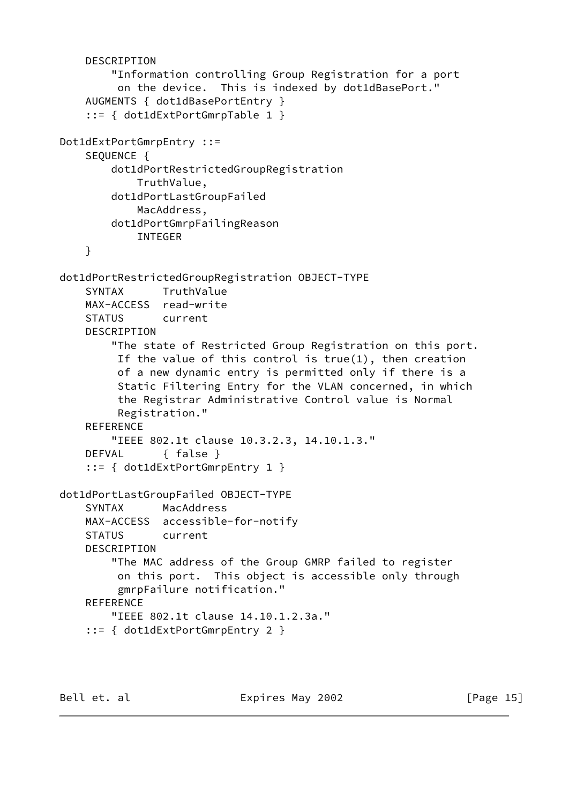```
 DESCRIPTION
         "Information controlling Group Registration for a port
          on the device. This is indexed by dot1dBasePort."
     AUGMENTS { dot1dBasePortEntry }
     ::= { dot1dExtPortGmrpTable 1 }
Dot1dExtPortGmrpEntry ::=
     SEQUENCE {
         dot1dPortRestrictedGroupRegistration
             TruthValue,
         dot1dPortLastGroupFailed
             MacAddress,
         dot1dPortGmrpFailingReason
             INTEGER
     }
dot1dPortRestrictedGroupRegistration OBJECT-TYPE
     SYNTAX TruthValue
     MAX-ACCESS read-write
     STATUS current
     DESCRIPTION
         "The state of Restricted Group Registration on this port.
          If the value of this control is true(1), then creation
          of a new dynamic entry is permitted only if there is a
          Static Filtering Entry for the VLAN concerned, in which
          the Registrar Administrative Control value is Normal
          Registration."
     REFERENCE
         "IEEE 802.1t clause 10.3.2.3, 14.10.1.3."
     DEFVAL { false }
     ::= { dot1dExtPortGmrpEntry 1 }
dot1dPortLastGroupFailed OBJECT-TYPE
     SYNTAX MacAddress
     MAX-ACCESS accessible-for-notify
     STATUS current
     DESCRIPTION
         "The MAC address of the Group GMRP failed to register
          on this port. This object is accessible only through
          gmrpFailure notification."
     REFERENCE
         "IEEE 802.1t clause 14.10.1.2.3a."
     ::= { dot1dExtPortGmrpEntry 2 }
```
Bell et. al  $\qquad \qquad$  Expires May 2002  $\qquad \qquad$  [Page 15]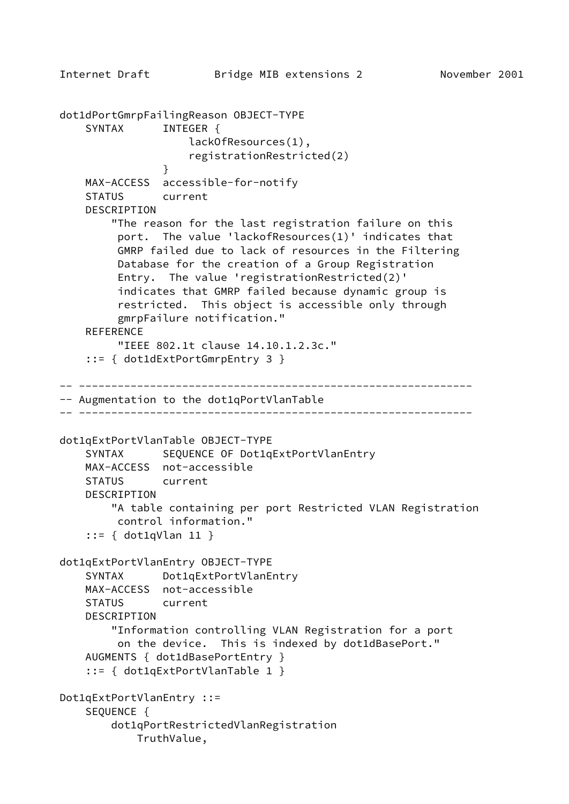```
Internet Draft Bridge MIB extensions 2 November 2001
dot1dPortGmrpFailingReason OBJECT-TYPE
    SYNTAX INTEGER {
                    lackOfResources(1),
                    registrationRestricted(2)
 }
    MAX-ACCESS accessible-for-notify
     STATUS current
     DESCRIPTION
         "The reason for the last registration failure on this
          port. The value 'lackofResources(1)' indicates that
         GMRP failed due to lack of resources in the Filtering
         Database for the creation of a Group Registration
          Entry. The value 'registrationRestricted(2)'
          indicates that GMRP failed because dynamic group is
          restricted. This object is accessible only through
         gmrpFailure notification."
     REFERENCE
          "IEEE 802.1t clause 14.10.1.2.3c."
     ::= { dot1dExtPortGmrpEntry 3 }
-- -------------------------------------------------------------
-- Augmentation to the dot1qPortVlanTable
-- -------------------------------------------------------------
dot1qExtPortVlanTable OBJECT-TYPE
    SYNTAX SEQUENCE OF Dot1qExtPortVlanEntry
    MAX-ACCESS not-accessible
    STATUS current
     DESCRIPTION
         "A table containing per port Restricted VLAN Registration
         control information."
     ::= { dot1qVlan 11 }
dot1qExtPortVlanEntry OBJECT-TYPE
     SYNTAX Dot1qExtPortVlanEntry
    MAX-ACCESS not-accessible
     STATUS current
     DESCRIPTION
         "Information controlling VLAN Registration for a port
         on the device. This is indexed by dot1dBasePort."
     AUGMENTS { dot1dBasePortEntry }
     ::= { dot1qExtPortVlanTable 1 }
Dot1qExtPortVlanEntry ::=
     SEQUENCE {
         dot1qPortRestrictedVlanRegistration
            TruthValue,
```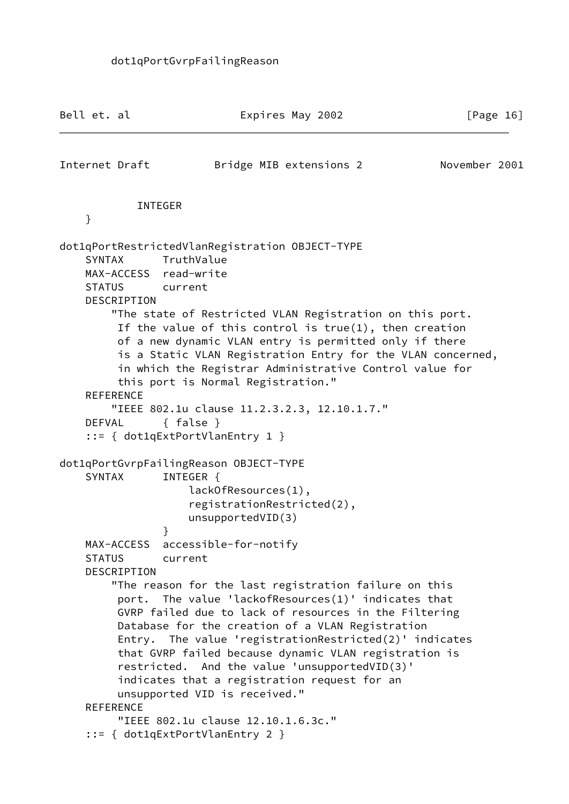| Bell et. al                    |                  | Expires May 2002                                                                                                                                                                                                                                                                                                                                                                                                                                                               | [Page $16$ ]  |
|--------------------------------|------------------|--------------------------------------------------------------------------------------------------------------------------------------------------------------------------------------------------------------------------------------------------------------------------------------------------------------------------------------------------------------------------------------------------------------------------------------------------------------------------------|---------------|
|                                | Internet Draft   | Bridge MIB extensions 2                                                                                                                                                                                                                                                                                                                                                                                                                                                        | November 2001 |
|                                |                  | <b>INTEGER</b>                                                                                                                                                                                                                                                                                                                                                                                                                                                                 |               |
| }                              |                  |                                                                                                                                                                                                                                                                                                                                                                                                                                                                                |               |
| <b>SYNTAX</b><br><b>STATUS</b> | DESCRIPTION      | dot1qPortRestrictedVlanRegistration OBJECT-TYPE<br>TruthValue<br>MAX-ACCESS read-write<br>current<br>"The state of Restricted VLAN Registration on this port.                                                                                                                                                                                                                                                                                                                  |               |
|                                | <b>REFERENCE</b> | If the value of this control is $true(1)$ , then creation<br>of a new dynamic VLAN entry is permitted only if there<br>is a Static VLAN Registration Entry for the VLAN concerned,<br>in which the Registrar Administrative Control value for<br>this port is Normal Registration."                                                                                                                                                                                            |               |
|                                |                  | "IEEE 802.1u clause 11.2.3.2.3, 12.10.1.7."                                                                                                                                                                                                                                                                                                                                                                                                                                    |               |
| <b>DEFVAL</b>                  |                  | $\{ false \}$                                                                                                                                                                                                                                                                                                                                                                                                                                                                  |               |
|                                |                  | $::= \{ dot1qExtPortVlanEntry 1 \}$                                                                                                                                                                                                                                                                                                                                                                                                                                            |               |
| <b>SYNTAX</b>                  |                  | dot1qPortGvrpFailingReason OBJECT-TYPE<br>INTEGER {<br>lackOfResources(1),<br>registrationRestricted(2),<br>unsupportedVID(3)<br><sup>}</sup>                                                                                                                                                                                                                                                                                                                                  |               |
| <b>STATUS</b>                  | DESCRIPTION      | MAX-ACCESS accessible-for-notify<br>current                                                                                                                                                                                                                                                                                                                                                                                                                                    |               |
|                                | <b>REFERENCE</b> | "The reason for the last registration failure on this<br>port. The value 'lackofResources(1)' indicates that<br>GVRP failed due to lack of resources in the Filtering<br>Database for the creation of a VLAN Registration<br>Entry. The value 'registrationRestricted(2)' indicates<br>that GVRP failed because dynamic VLAN registration is<br>restricted. And the value 'unsupportedVID(3)'<br>indicates that a registration request for an<br>unsupported VID is received." |               |
|                                |                  | "IEEE 802.1u clause 12.10.1.6.3c."<br>$::= \{ dot1qExtPortVlanEntry 2 \}$                                                                                                                                                                                                                                                                                                                                                                                                      |               |
|                                |                  |                                                                                                                                                                                                                                                                                                                                                                                                                                                                                |               |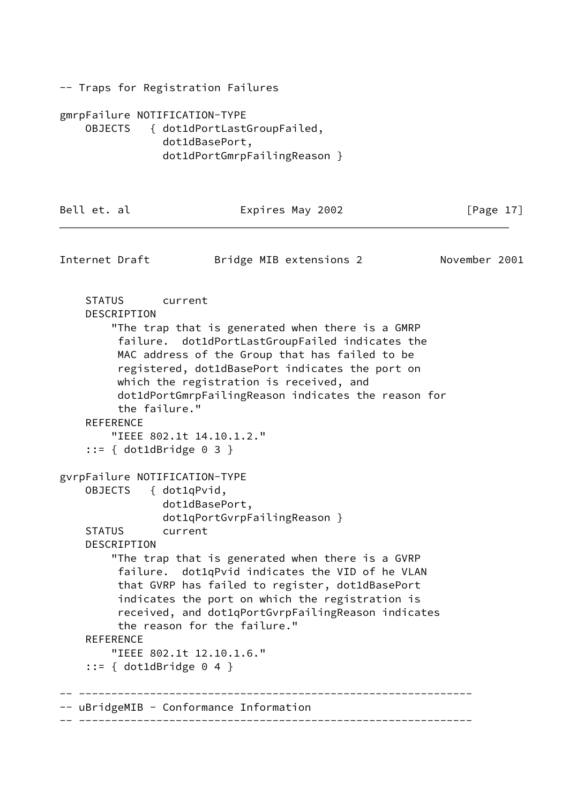-- Traps for Registration Failures

gmrpFailure NOTIFICATION-TYPE OBJECTS { dot1dPortLastGroupFailed, dot1dBasePort, dot1dPortGmrpFailingReason }

Bell et. al  $\qquad \qquad$  Expires May 2002  $\qquad \qquad$  [Page 17] Internet Draft Bridge MIB extensions 2 November 2001 STATUS current DESCRIPTION "The trap that is generated when there is a GMRP failure. dot1dPortLastGroupFailed indicates the MAC address of the Group that has failed to be registered, dot1dBasePort indicates the port on which the registration is received, and dot1dPortGmrpFailingReason indicates the reason for the failure." REFERENCE "IEEE 802.1t 14.10.1.2." ::= { dot1dBridge 0 3 } gvrpFailure NOTIFICATION-TYPE OBJECTS { dot1qPvid, dot1dBasePort, dot1qPortGvrpFailingReason } STATUS current DESCRIPTION "The trap that is generated when there is a GVRP failure. dot1qPvid indicates the VID of he VLAN that GVRP has failed to register, dot1dBasePort indicates the port on which the registration is received, and dot1qPortGvrpFailingReason indicates the reason for the failure." REFERENCE "IEEE 802.1t 12.10.1.6."  $::=$  { dot1dBridge 0 4 } -- -------------------------------------------------------------

-- -------------------------------------------------------------

-- uBridgeMIB - Conformance Information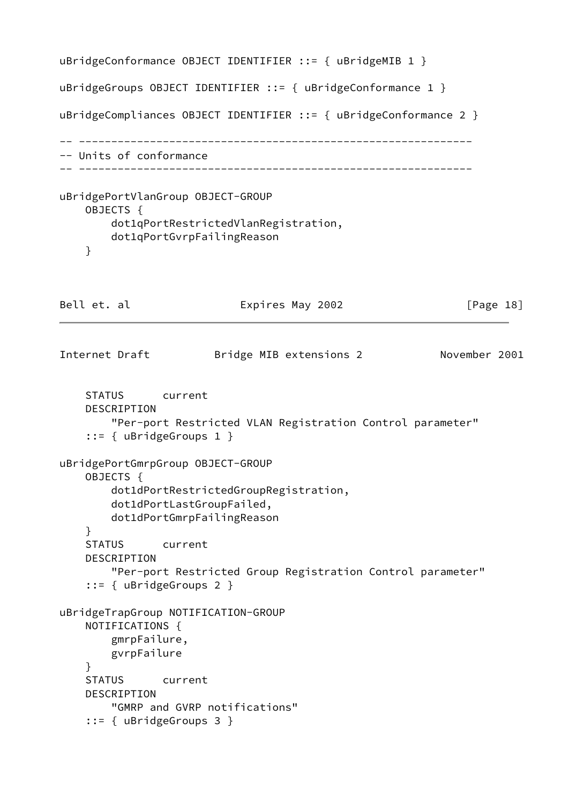```
uBridgeConformance OBJECT IDENTIFIER ::= { uBridgeMIB 1 }
uBridgeGroups OBJECT IDENTIFIER ::= { uBridgeConformance 1 }
uBridgeCompliances OBJECT IDENTIFIER ::= { uBridgeConformance 2 }
-- -------------------------------------------------------------
-- Units of conformance
-- -------------------------------------------------------------
uBridgePortVlanGroup OBJECT-GROUP
    OBJECTS {
        dot1qPortRestrictedVlanRegistration,
        dot1qPortGvrpFailingReason
    }
Bell et. al Expires May 2002 [Page 18]
Internet Draft Bridge MIB extensions 2 November 2001
    STATUS current
    DESCRIPTION
        "Per-port Restricted VLAN Registration Control parameter"
     ::= { uBridgeGroups 1 }
uBridgePortGmrpGroup OBJECT-GROUP
    OBJECTS {
        dot1dPortRestrictedGroupRegistration,
        dot1dPortLastGroupFailed,
        dot1dPortGmrpFailingReason
     }
     STATUS current
     DESCRIPTION
        "Per-port Restricted Group Registration Control parameter"
     ::= { uBridgeGroups 2 }
uBridgeTrapGroup NOTIFICATION-GROUP
     NOTIFICATIONS {
        gmrpFailure,
        gvrpFailure
     }
    STATUS current
     DESCRIPTION
        "GMRP and GVRP notifications"
     ::= { uBridgeGroups 3 }
```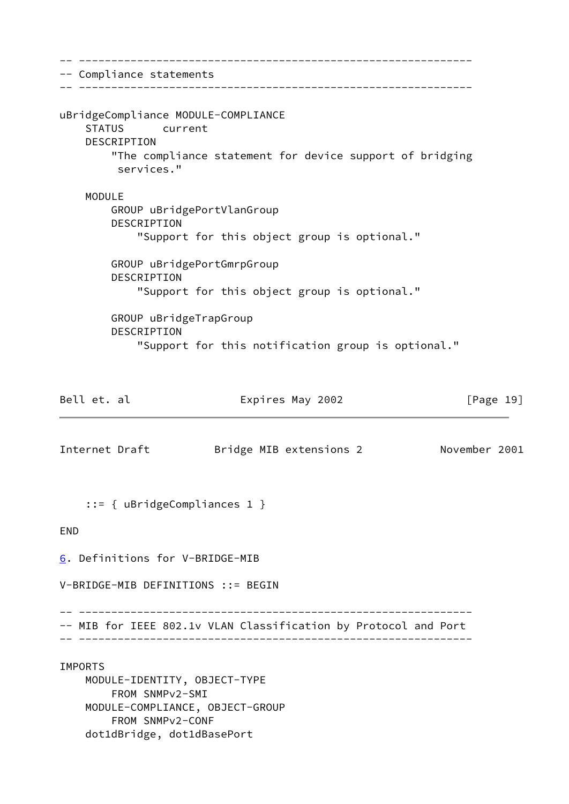<span id="page-21-1"></span><span id="page-21-0"></span>-- ------------------------------------------------------------- -- Compliance statements -- ------------------------------------------------------------ uBridgeCompliance MODULE-COMPLIANCE STATUS current DESCRIPTION "The compliance statement for device support of bridging services." MODULE GROUP uBridgePortVlanGroup DESCRIPTION "Support for this object group is optional." GROUP uBridgePortGmrpGroup DESCRIPTION "Support for this object group is optional." GROUP uBridgeTrapGroup DESCRIPTION "Support for this notification group is optional." Bell et. al  $\qquad \qquad$  Expires May 2002  $\qquad \qquad$  [Page 19] Internet Draft Bridge MIB extensions 2 November 2001 ::= { uBridgeCompliances 1 } END [6](#page-21-0). Definitions for V-BRIDGE-MIB V-BRIDGE-MIB DEFINITIONS ::= BEGIN -- ------------------------------------------------------------- -- MIB for IEEE 802.1v VLAN Classification by Protocol and Port -- ------------------------------------------------------------- IMPORTS MODULE-IDENTITY, OBJECT-TYPE FROM SNMPv2-SMI MODULE-COMPLIANCE, OBJECT-GROUP FROM SNMPv2-CONF dot1dBridge, dot1dBasePort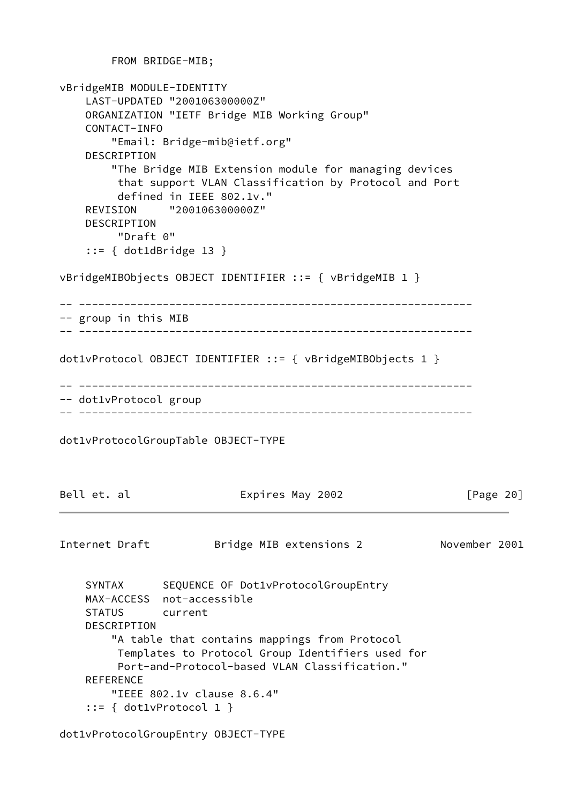```
 FROM BRIDGE-MIB;
vBridgeMIB MODULE-IDENTITY
     LAST-UPDATED "200106300000Z"
    ORGANIZATION "IETF Bridge MIB Working Group"
    CONTACT-INFO
        "Email: Bridge-mib@ietf.org"
     DESCRIPTION
        "The Bridge MIB Extension module for managing devices
         that support VLAN Classification by Protocol and Port
         defined in IEEE 802.1v."
    REVISION "200106300000Z"
    DESCRIPTION
         "Draft 0"
     ::= { dot1dBridge 13 }
vBridgeMIBObjects OBJECT IDENTIFIER ::= { vBridgeMIB 1 }
-- -------------------------------------------------------------
-- group in this MIB
-- -------------------------------------------------------------
dot1vProtocol OBJECT IDENTIFIER ::= { vBridgeMIBObjects 1 }
-- -------------------------------------------------------------
-- dot1vProtocol group
-- -------------------------------------------------------------
dot1vProtocolGroupTable OBJECT-TYPE
Bell et. al Expires May 2002 [Page 20]
Internet Draft Bridge MIB extensions 2 November 2001
    SYNTAX SEQUENCE OF Dot1vProtocolGroupEntry
    MAX-ACCESS not-accessible
    STATUS current
    DESCRIPTION
         "A table that contains mappings from Protocol
         Templates to Protocol Group Identifiers used for
         Port-and-Protocol-based VLAN Classification."
     REFERENCE
        "IEEE 802.1v clause 8.6.4"
     ::= { dot1vProtocol 1 }
```
dot1vProtocolGroupEntry OBJECT-TYPE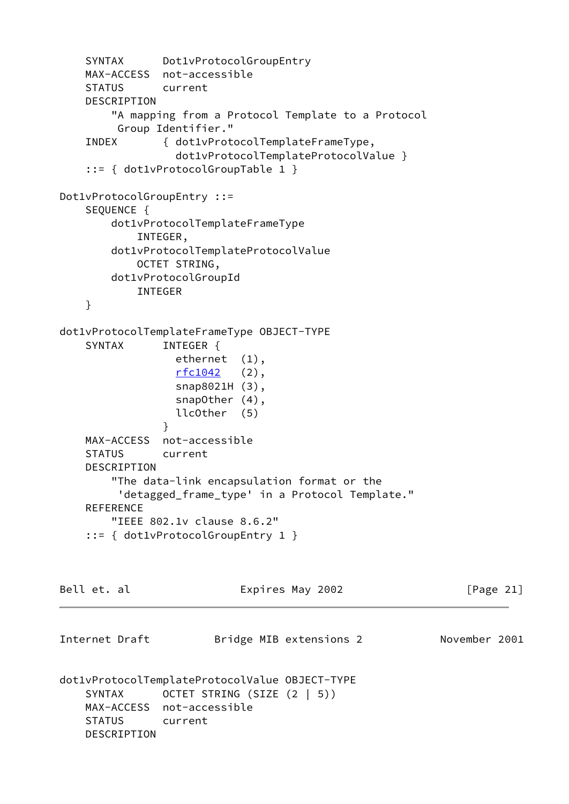SYNTAX Dot1vProtocolGroupEntry MAX-ACCESS not-accessible STATUS current DESCRIPTION "A mapping from a Protocol Template to a Protocol Group Identifier." INDEX { dot1vProtocolTemplateFrameType, dot1vProtocolTemplateProtocolValue } ::= { dot1vProtocolGroupTable 1 } Dot1vProtocolGroupEntry ::= SEQUENCE { dot1vProtocolTemplateFrameType INTEGER, dot1vProtocolTemplateProtocolValue OCTET STRING, dot1vProtocolGroupId INTEGER } dot1vProtocolTemplateFrameType OBJECT-TYPE SYNTAX INTEGER { ethernet (1),  $rfc1042$  (2), snap8021H (3), snapOther (4), llcOther (5) } MAX-ACCESS not-accessible STATUS current DESCRIPTION "The data-link encapsulation format or the 'detagged\_frame\_type' in a Protocol Template." REFERENCE "IEEE 802.1v clause 8.6.2" ::= { dot1vProtocolGroupEntry 1 } Bell et. al Expires May 2002 [Page 21] Internet Draft Bridge MIB extensions 2 November 2001 dot1vProtocolTemplateProtocolValue OBJECT-TYPE SYNTAX OCTET STRING (SIZE (2 | 5)) MAX-ACCESS not-accessible STATUS current DESCRIPTION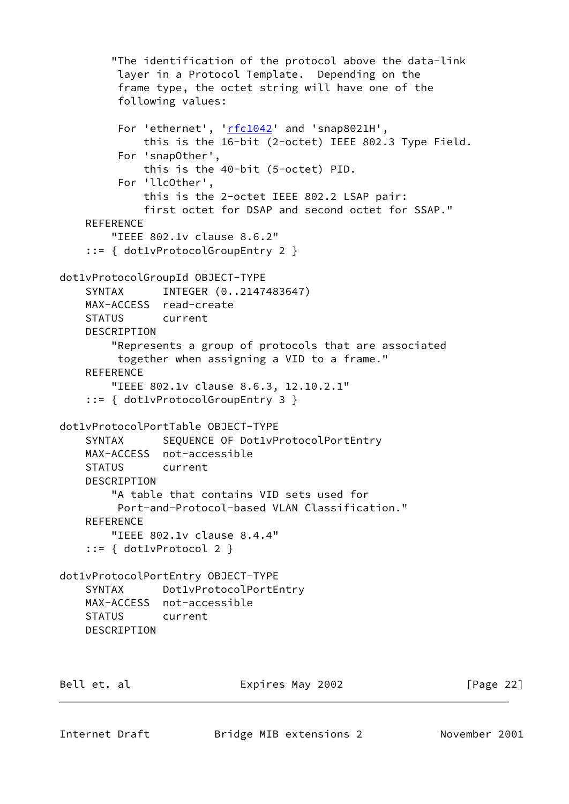```
 "The identification of the protocol above the data-link
          layer in a Protocol Template. Depending on the
          frame type, the octet string will have one of the
          following values:
         rfc1042' and 'snap8021H',
              this is the 16-bit (2-octet) IEEE 802.3 Type Field.
          For 'snapOther',
             this is the 40-bit (5-octet) PID.
          For 'llcOther',
              this is the 2-octet IEEE 802.2 LSAP pair:
              first octet for DSAP and second octet for SSAP."
     REFERENCE
         "IEEE 802.1v clause 8.6.2"
     ::= { dot1vProtocolGroupEntry 2 }
dot1vProtocolGroupId OBJECT-TYPE
     SYNTAX INTEGER (0..2147483647)
     MAX-ACCESS read-create
     STATUS current
     DESCRIPTION
         "Represents a group of protocols that are associated
          together when assigning a VID to a frame."
     REFERENCE
         "IEEE 802.1v clause 8.6.3, 12.10.2.1"
     ::= { dot1vProtocolGroupEntry 3 }
dot1vProtocolPortTable OBJECT-TYPE
    SYNTAX SEQUENCE OF Dot1vProtocolPortEntry
     MAX-ACCESS not-accessible
     STATUS current
     DESCRIPTION
         "A table that contains VID sets used for
          Port-and-Protocol-based VLAN Classification."
     REFERENCE
        "IEEE 802.1v clause 8.4.4"
     ::= { dot1vProtocol 2 }
dot1vProtocolPortEntry OBJECT-TYPE
     SYNTAX Dot1vProtocolPortEntry
     MAX-ACCESS not-accessible
     STATUS current
     DESCRIPTION
```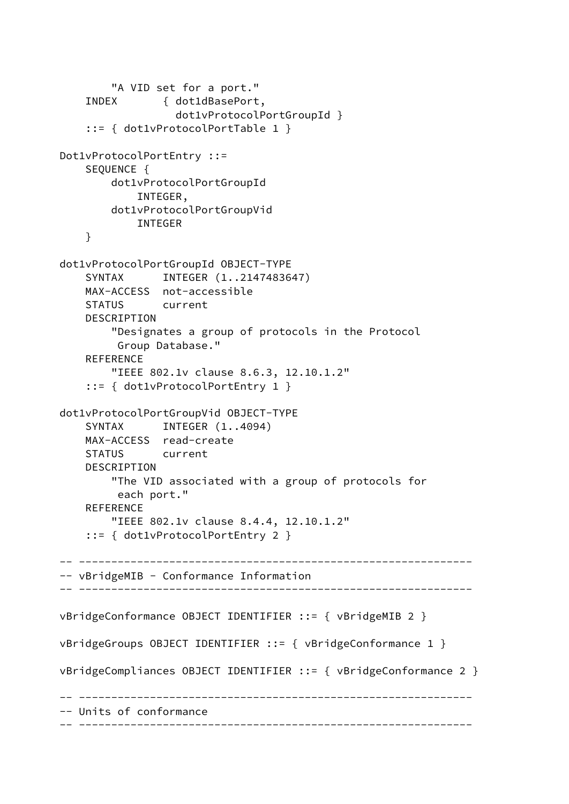```
 "A VID set for a port."
     INDEX { dot1dBasePort,
                   dot1vProtocolPortGroupId }
     ::= { dot1vProtocolPortTable 1 }
Dot1vProtocolPortEntry ::=
     SEQUENCE {
         dot1vProtocolPortGroupId
             INTEGER,
         dot1vProtocolPortGroupVid
             INTEGER
     }
dot1vProtocolPortGroupId OBJECT-TYPE
     SYNTAX INTEGER (1..2147483647)
     MAX-ACCESS not-accessible
     STATUS current
     DESCRIPTION
         "Designates a group of protocols in the Protocol
          Group Database."
     REFERENCE
         "IEEE 802.1v clause 8.6.3, 12.10.1.2"
     ::= { dot1vProtocolPortEntry 1 }
dot1vProtocolPortGroupVid OBJECT-TYPE
    SYNTAX INTEGER (1..4094) MAX-ACCESS read-create
     STATUS current
     DESCRIPTION
         "The VID associated with a group of protocols for
          each port."
     REFERENCE
         "IEEE 802.1v clause 8.4.4, 12.10.1.2"
     ::= { dot1vProtocolPortEntry 2 }
 -- -------------------------------------------------------------
-- vBridgeMIB - Conformance Information
-- -------------------------------------------------------------
vBridgeConformance OBJECT IDENTIFIER ::= { vBridgeMIB 2 }
vBridgeGroups OBJECT IDENTIFIER ::= { vBridgeConformance 1 }
vBridgeCompliances OBJECT IDENTIFIER ::= { vBridgeConformance 2 }
   -- -------------------------------------------------------------
-- Units of conformance
  -- -------------------------------------------------------------
```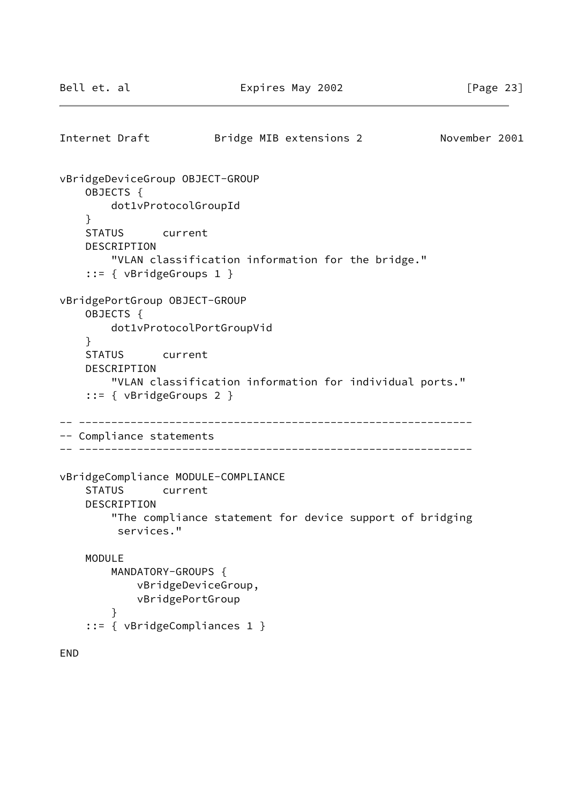```
Internet Draft Bridge MIB extensions 2 November 2001
vBridgeDeviceGroup OBJECT-GROUP
     OBJECTS {
        dot1vProtocolGroupId
     }
     STATUS current
     DESCRIPTION
         "VLAN classification information for the bridge."
     ::= { vBridgeGroups 1 }
vBridgePortGroup OBJECT-GROUP
     OBJECTS {
         dot1vProtocolPortGroupVid
     }
     STATUS current
     DESCRIPTION
         "VLAN classification information for individual ports."
     ::= { vBridgeGroups 2 }
-- -------------------------------------------------------------
-- Compliance statements
-- -------------------------------------------------------------
vBridgeCompliance MODULE-COMPLIANCE
     STATUS current
     DESCRIPTION
         "The compliance statement for device support of bridging
          services."
     MODULE
        MANDATORY-GROUPS {
             vBridgeDeviceGroup,
             vBridgePortGroup
         }
     ::= { vBridgeCompliances 1 }
END
```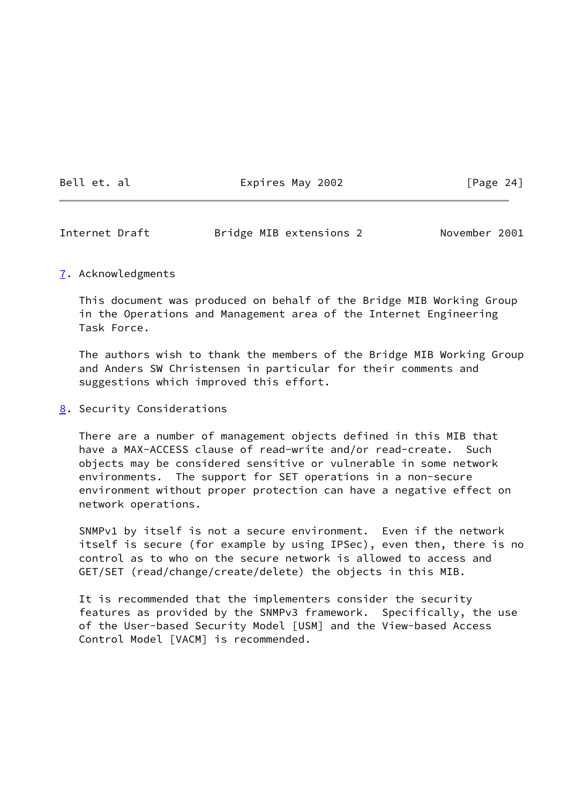Bell et. al  $Expires$  May 2002 [Page 24]

<span id="page-27-1"></span>Internet Draft Bridge MIB extensions 2 November 2001

## <span id="page-27-0"></span>[7](#page-27-0). Acknowledgments

 This document was produced on behalf of the Bridge MIB Working Group in the Operations and Management area of the Internet Engineering Task Force.

 The authors wish to thank the members of the Bridge MIB Working Group and Anders SW Christensen in particular for their comments and suggestions which improved this effort.

<span id="page-27-2"></span>[8](#page-27-2). Security Considerations

 There are a number of management objects defined in this MIB that have a MAX-ACCESS clause of read-write and/or read-create. Such objects may be considered sensitive or vulnerable in some network environments. The support for SET operations in a non-secure environment without proper protection can have a negative effect on network operations.

 SNMPv1 by itself is not a secure environment. Even if the network itself is secure (for example by using IPSec), even then, there is no control as to who on the secure network is allowed to access and GET/SET (read/change/create/delete) the objects in this MIB.

 It is recommended that the implementers consider the security features as provided by the SNMPv3 framework. Specifically, the use of the User-based Security Model [USM] and the View-based Access Control Model [VACM] is recommended.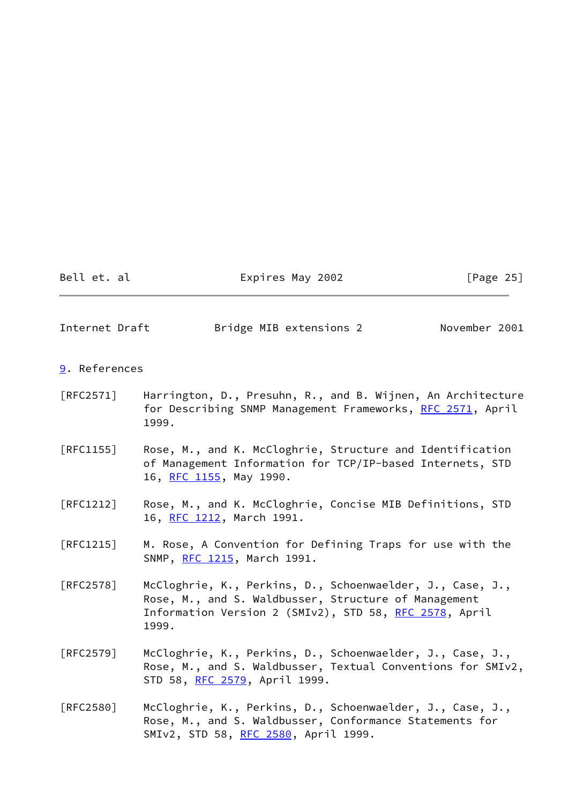Bell et. al Expires May 2002 [Page 25]

<span id="page-28-1"></span>Internet Draft Bridge MIB extensions 2 November 2001

- <span id="page-28-0"></span>[9](#page-28-0). References
- [RFC2571] Harrington, D., Presuhn, R., and B. Wijnen, An Architecture for Describing SNMP Management Frameworks, [RFC 2571](https://datatracker.ietf.org/doc/pdf/rfc2571), April 1999.
- [RFC1155] Rose, M., and K. McCloghrie, Structure and Identification of Management Information for TCP/IP-based Internets, STD 16, [RFC 1155](https://datatracker.ietf.org/doc/pdf/rfc1155), May 1990.
- [RFC1212] Rose, M., and K. McCloghrie, Concise MIB Definitions, STD 16, [RFC 1212](https://datatracker.ietf.org/doc/pdf/rfc1212), March 1991.
- [RFC1215] M. Rose, A Convention for Defining Traps for use with the SNMP, [RFC 1215](https://datatracker.ietf.org/doc/pdf/rfc1215), March 1991.
- [RFC2578] McCloghrie, K., Perkins, D., Schoenwaelder, J., Case, J., Rose, M., and S. Waldbusser, Structure of Management Information Version 2 (SMIv2), STD 58, [RFC 2578](https://datatracker.ietf.org/doc/pdf/rfc2578), April 1999.
- [RFC2579] McCloghrie, K., Perkins, D., Schoenwaelder, J., Case, J., Rose, M., and S. Waldbusser, Textual Conventions for SMIv2, STD 58, [RFC 2579](https://datatracker.ietf.org/doc/pdf/rfc2579), April 1999.
- [RFC2580] McCloghrie, K., Perkins, D., Schoenwaelder, J., Case, J., Rose, M., and S. Waldbusser, Conformance Statements for SMIv2, STD 58, [RFC 2580](https://datatracker.ietf.org/doc/pdf/rfc2580), April 1999.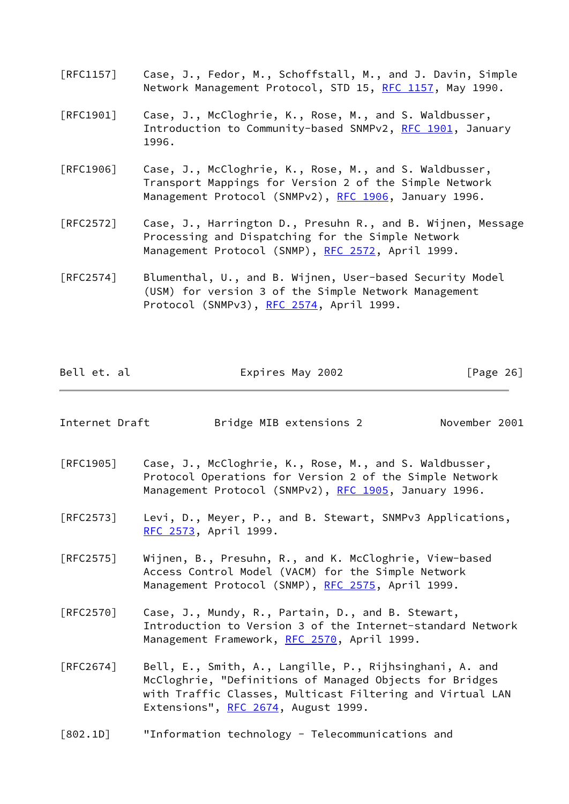- [RFC1157] Case, J., Fedor, M., Schoffstall, M., and J. Davin, Simple Network Management Protocol, STD 15, [RFC 1157,](https://datatracker.ietf.org/doc/pdf/rfc1157) May 1990.
- [RFC1901] Case, J., McCloghrie, K., Rose, M., and S. Waldbusser, Introduction to Community-based SNMPv2, [RFC 1901](https://datatracker.ietf.org/doc/pdf/rfc1901), January 1996.
- [RFC1906] Case, J., McCloghrie, K., Rose, M., and S. Waldbusser, Transport Mappings for Version 2 of the Simple Network Management Protocol (SNMPv2), [RFC 1906](https://datatracker.ietf.org/doc/pdf/rfc1906), January 1996.
- [RFC2572] Case, J., Harrington D., Presuhn R., and B. Wijnen, Message Processing and Dispatching for the Simple Network Management Protocol (SNMP), [RFC 2572](https://datatracker.ietf.org/doc/pdf/rfc2572), April 1999.
- [RFC2574] Blumenthal, U., and B. Wijnen, User-based Security Model (USM) for version 3 of the Simple Network Management Protocol (SNMPv3), [RFC 2574](https://datatracker.ietf.org/doc/pdf/rfc2574), April 1999.

<span id="page-29-0"></span>

| Bell et. al    | Expires May 2002                                                                                                                                                                                                       | [Page 26]     |
|----------------|------------------------------------------------------------------------------------------------------------------------------------------------------------------------------------------------------------------------|---------------|
| Internet Draft | Bridge MIB extensions 2                                                                                                                                                                                                | November 2001 |
| [RFC1905]      | Case, J., McCloghrie, K., Rose, M., and S. Waldbusser,<br>Protocol Operations for Version 2 of the Simple Network<br>Management Protocol (SNMPv2), RFC 1905, January 1996.                                             |               |
| [RFC2573]      | Levi, D., Meyer, P., and B. Stewart, SNMPv3 Applications,<br>RFC 2573, April 1999.                                                                                                                                     |               |
| [RFC2575]      | Wijnen, B., Presuhn, R., and K. McCloghrie, View-based<br>Access Control Model (VACM) for the Simple Network<br>Management Protocol (SNMP), RFC 2575, April 1999.                                                      |               |
| [RFC2570]      | Case, J., Mundy, R., Partain, D., and B. Stewart,<br>Introduction to Version 3 of the Internet-standard Network<br>Management Framework, RFC 2570, April 1999.                                                         |               |
| [RFC2674]      | Bell, E., Smith, A., Langille, P., Rijhsinghani, A. and<br>McCloghrie, "Definitions of Managed Objects for Bridges<br>with Traffic Classes, Multicast Filtering and Virtual LAN<br>Extensions", RFC 2674, August 1999. |               |
| [802.1D]       | "Information technology - Telecommunications and                                                                                                                                                                       |               |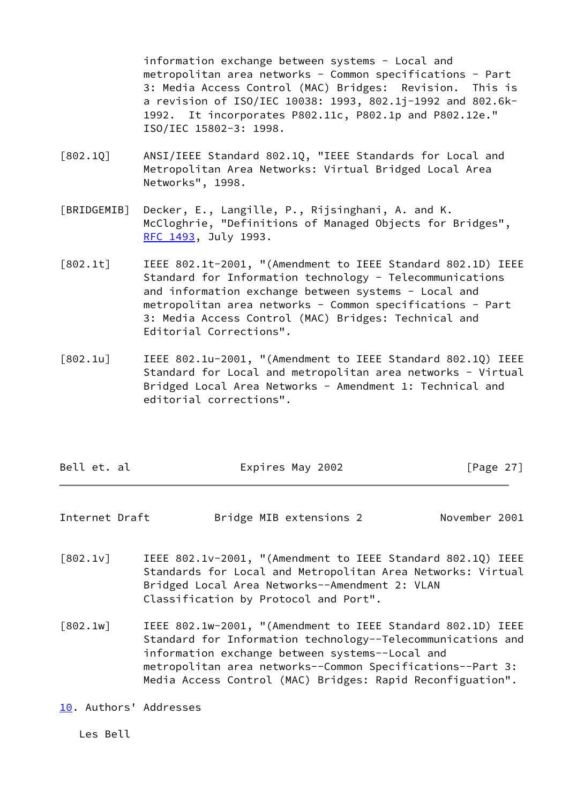information exchange between systems - Local and metropolitan area networks - Common specifications - Part 3: Media Access Control (MAC) Bridges: Revision. This is a revision of ISO/IEC 10038: 1993, 802.1j-1992 and 802.6k- 1992. It incorporates P802.11c, P802.1p and P802.12e." ISO/IEC 15802-3: 1998.

- <span id="page-30-7"></span>[802.1Q] ANSI/IEEE Standard 802.1Q, "IEEE Standards for Local and Metropolitan Area Networks: Virtual Bridged Local Area Networks", 1998.
- <span id="page-30-4"></span>[BRIDGEMIB] Decker, E., Langille, P., Rijsinghani, A. and K. McCloghrie, "Definitions of Managed Objects for Bridges", [RFC 1493](https://datatracker.ietf.org/doc/pdf/rfc1493), July 1993.
- <span id="page-30-0"></span>[802.1t] IEEE 802.1t-2001, "(Amendment to IEEE Standard 802.1D) IEEE Standard for Information technology - Telecommunications and information exchange between systems - Local and metropolitan area networks - Common specifications - Part 3: Media Access Control (MAC) Bridges: Technical and Editorial Corrections".
- <span id="page-30-1"></span>[802.1u] IEEE 802.1u-2001, "(Amendment to IEEE Standard 802.1Q) IEEE Standard for Local and metropolitan area networks - Virtual Bridged Local Area Networks - Amendment 1: Technical and editorial corrections".

| Bell et. al | Expires May 2002 | [Page $27$ ] |
|-------------|------------------|--------------|
|             |                  |              |

<span id="page-30-6"></span>Internet Draft Bridge MIB extensions 2 November 2001

- <span id="page-30-2"></span>[802.1v] IEEE 802.1v-2001, "(Amendment to IEEE Standard 802.1Q) IEEE Standards for Local and Metropolitan Area Networks: Virtual Bridged Local Area Networks--Amendment 2: VLAN Classification by Protocol and Port".
- <span id="page-30-3"></span>[802.1w] IEEE 802.1w-2001, "(Amendment to IEEE Standard 802.1D) IEEE Standard for Information technology--Telecommunications and information exchange between systems--Local and metropolitan area networks--Common Specifications--Part 3: Media Access Control (MAC) Bridges: Rapid Reconfiguation".
- <span id="page-30-5"></span>[10.](#page-30-5) Authors' Addresses

Les Bell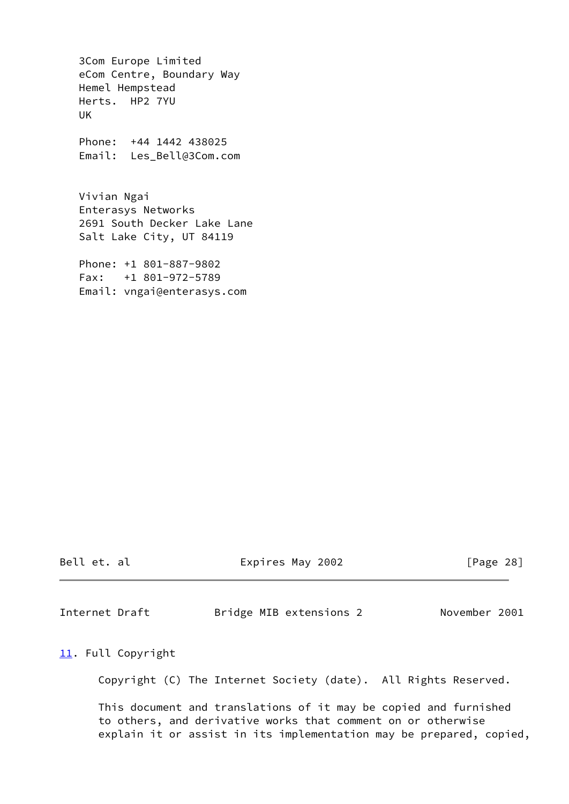3Com Europe Limited eCom Centre, Boundary Way Hemel Hempstead Herts. HP2 7YU UK Phone: +44 1442 438025 Email: Les\_Bell@3Com.com Vivian Ngai Enterasys Networks 2691 South Decker Lake Lane Salt Lake City, UT 84119

 Phone: +1 801-887-9802 Fax: +1 801-972-5789 Email: vngai@enterasys.com

Bell et. al  $\qquad \qquad$  Expires May 2002  $\qquad \qquad$  [Page 28]

<span id="page-31-1"></span>Internet Draft Bridge MIB extensions 2 November 2001

<span id="page-31-0"></span>[11.](#page-31-0) Full Copyright

Copyright (C) The Internet Society (date). All Rights Reserved.

 This document and translations of it may be copied and furnished to others, and derivative works that comment on or otherwise explain it or assist in its implementation may be prepared, copied,